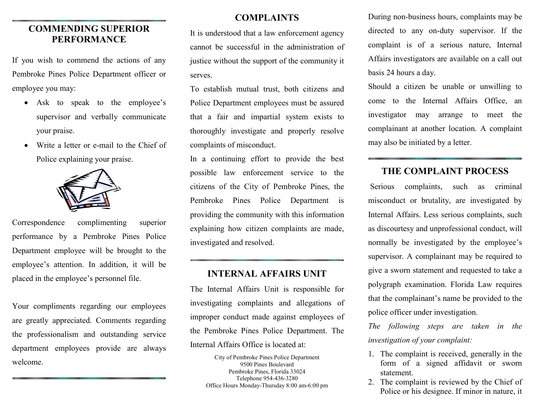### COMMENDING SUPERIOR PERFORMANCE

If you wish to commend the actions of any Pembroke Pines Police Department officer or employee you may:

- Ask to speak to the employee's supervisor and verbally communicate your praise.
- Write a letter or e-mail to the Chief of Police explaining your praise.



Correspondence complimenting superior performance by a Pembroke Pines Police Department employee will be brought to the employee's attention. In addition, it will be placed in the employee's personnel file.

Your compliments regarding our employees are greatly appreciated. Comments regarding the professionalism and outstanding service department employees provide are always welcome.

#### COMPLAINTS

It is understood that a law enforcement agency cannot be successful in the administration of justice without the support of the community it serves.

To establish mutual trust, both citizens and Police Department employees must be assured that a fair and impartial system exists to thoroughly investigate and properly resolve complaints of misconduct.

In a continuing effort to provide the best possible law enforcement service to the citizens of the City of Pembroke Pines, the Pembroke Pines Police Department is providing the community with this information explaining how citizen complaints are made, investigated and resolved.

#### INTERNAL AFFAIRS UNIT

The Internal Affairs Unit is responsible for investigating complaints and allegations of improper conduct made against employees of the Pembroke Pines Police Department. The Internal Affairs Office is located at:

> City of Pembroke Pines Police Department 9500 Pines Boulevard Pembroke Pines, Florida 33024 Telephone 954-436-3280 Office Hours Monday-Thursday 8:00 am-6:00 pm

During non-business hours, complaints may be directed to any on-duty supervisor. If the complaint is of a serious nature, Internal Affairs investigators are available on a call out basis 24 hours a day.

Should a citizen be unable or unwilling to come to the Internal Affairs Office, an investigator may arrange to meet the complainant at another location. A complaint may also be initiated by a letter.

### THE COMPLAINT PROCESS

 Serious complaints, such as criminal misconduct or brutality, are investigated by Internal Affairs. Less serious complaints, such as discourtesy and unprofessional conduct, will normally be investigated by the employee's supervisor. A complainant may be required to give a sworn statement and requested to take a polygraph examination. Florida Law requires that the complainant's name be provided to the police officer under investigation.

The following steps are taken in the investigation of your complaint:

- 1. The complaint is received, generally in the form of a signed affidavit or sworn statement.
- 2. The complaint is reviewed by the Chief of Police or his designee. If minor in nature, it